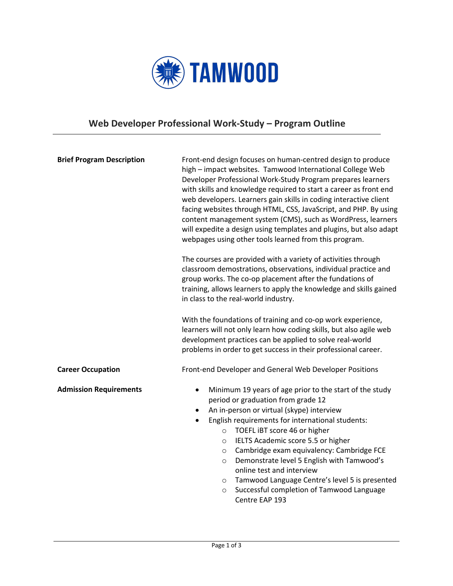

## **Web Developer Professional Work-Study – Program Outline**

| <b>Brief Program Description</b> | Front-end design focuses on human-centred design to produce<br>high - impact websites. Tamwood International College Web<br>Developer Professional Work-Study Program prepares learners<br>with skills and knowledge required to start a career as front end<br>web developers. Learners gain skills in coding interactive client<br>facing websites through HTML, CSS, JavaScript, and PHP. By using<br>content management system (CMS), such as WordPress, learners<br>will expedite a design using templates and plugins, but also adapt<br>webpages using other tools learned from this program. |
|----------------------------------|------------------------------------------------------------------------------------------------------------------------------------------------------------------------------------------------------------------------------------------------------------------------------------------------------------------------------------------------------------------------------------------------------------------------------------------------------------------------------------------------------------------------------------------------------------------------------------------------------|
|                                  | The courses are provided with a variety of activities through<br>classroom demostrations, observations, individual practice and<br>group works. The co-op placement after the fundations of<br>training, allows learners to apply the knowledge and skills gained<br>in class to the real-world industry.                                                                                                                                                                                                                                                                                            |
|                                  | With the foundations of training and co-op work experience,<br>learners will not only learn how coding skills, but also agile web<br>development practices can be applied to solve real-world<br>problems in order to get success in their professional career.                                                                                                                                                                                                                                                                                                                                      |
| <b>Career Occupation</b>         | Front-end Developer and General Web Developer Positions                                                                                                                                                                                                                                                                                                                                                                                                                                                                                                                                              |
| <b>Admission Requirements</b>    | Minimum 19 years of age prior to the start of the study<br>$\bullet$<br>period or graduation from grade 12<br>An in-person or virtual (skype) interview<br>English requirements for international students:<br>TOEFL IBT score 46 or higher<br>$\circ$<br>IELTS Academic score 5.5 or higher<br>$\circ$<br>Cambridge exam equivalency: Cambridge FCE<br>$\circ$<br>Demonstrate level 5 English with Tamwood's<br>$\circ$<br>online test and interview<br>Tamwood Language Centre's level 5 is presented<br>$\circ$<br>Successful completion of Tamwood Language<br>$\cap$                            |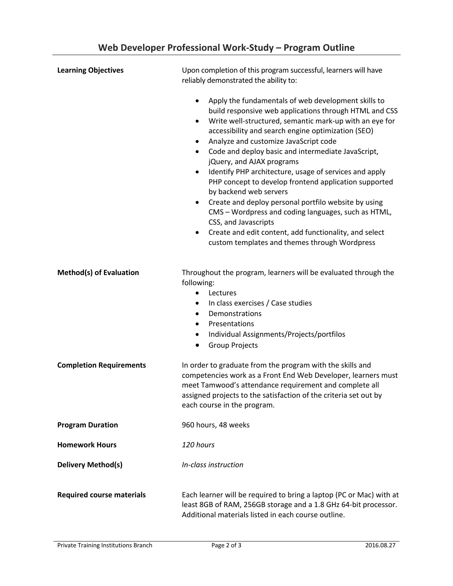| <b>Learning Objectives</b>       | Upon completion of this program successful, learners will have<br>reliably demonstrated the ability to:                                                                                                                                                                                                                                                                                                                                                                                                                                                                                                                                                                                                                                                                                                                                      |  |
|----------------------------------|----------------------------------------------------------------------------------------------------------------------------------------------------------------------------------------------------------------------------------------------------------------------------------------------------------------------------------------------------------------------------------------------------------------------------------------------------------------------------------------------------------------------------------------------------------------------------------------------------------------------------------------------------------------------------------------------------------------------------------------------------------------------------------------------------------------------------------------------|--|
|                                  | Apply the fundamentals of web development skills to<br>$\bullet$<br>build responsive web applications through HTML and CSS<br>Write well-structured, semantic mark-up with an eye for<br>$\bullet$<br>accessibility and search engine optimization (SEO)<br>Analyze and customize JavaScript code<br>$\bullet$<br>Code and deploy basic and intermediate JavaScript,<br>$\bullet$<br>jQuery, and AJAX programs<br>Identify PHP architecture, usage of services and apply<br>$\bullet$<br>PHP concept to develop frontend application supported<br>by backend web servers<br>Create and deploy personal portfilo website by using<br>٠<br>CMS - Wordpress and coding languages, such as HTML,<br>CSS, and Javascripts<br>Create and edit content, add functionality, and select<br>$\bullet$<br>custom templates and themes through Wordpress |  |
| <b>Method(s) of Evaluation</b>   | Throughout the program, learners will be evaluated through the<br>following:<br>Lectures<br>$\bullet$<br>In class exercises / Case studies<br>$\bullet$<br>Demonstrations<br>$\bullet$<br>Presentations<br>٠<br>Individual Assignments/Projects/portfilos<br>٠<br><b>Group Projects</b><br>$\bullet$                                                                                                                                                                                                                                                                                                                                                                                                                                                                                                                                         |  |
| <b>Completion Requirements</b>   | In order to graduate from the program with the skills and<br>competencies work as a Front End Web Developer, learners must<br>meet Tamwood's attendance requirement and complete all<br>assigned projects to the satisfaction of the criteria set out by<br>each course in the program.                                                                                                                                                                                                                                                                                                                                                                                                                                                                                                                                                      |  |
| <b>Program Duration</b>          | 960 hours, 48 weeks                                                                                                                                                                                                                                                                                                                                                                                                                                                                                                                                                                                                                                                                                                                                                                                                                          |  |
| <b>Homework Hours</b>            | 120 hours                                                                                                                                                                                                                                                                                                                                                                                                                                                                                                                                                                                                                                                                                                                                                                                                                                    |  |
| <b>Delivery Method(s)</b>        | In-class instruction                                                                                                                                                                                                                                                                                                                                                                                                                                                                                                                                                                                                                                                                                                                                                                                                                         |  |
| <b>Required course materials</b> | Each learner will be required to bring a laptop (PC or Mac) with at<br>least 8GB of RAM, 256GB storage and a 1.8 GHz 64-bit processor.<br>Additional materials listed in each course outline.                                                                                                                                                                                                                                                                                                                                                                                                                                                                                                                                                                                                                                                |  |